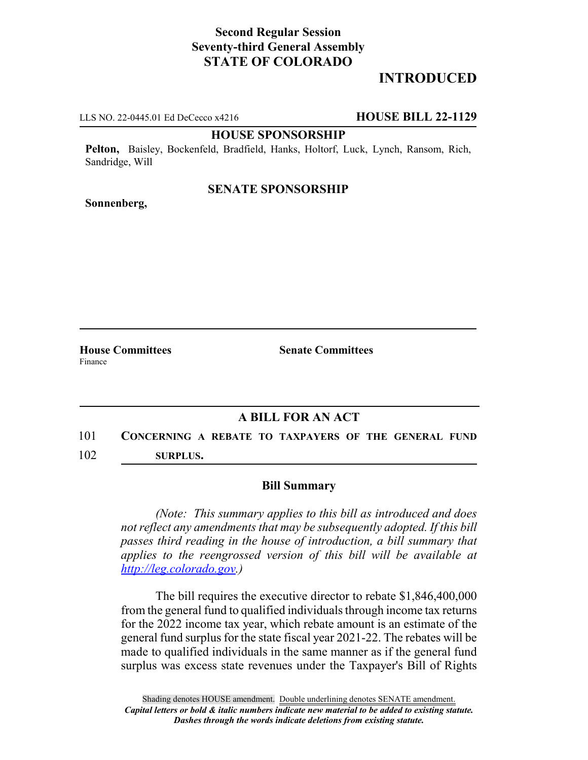# **Second Regular Session Seventy-third General Assembly STATE OF COLORADO**

# **INTRODUCED**

LLS NO. 22-0445.01 Ed DeCecco x4216 **HOUSE BILL 22-1129**

#### **HOUSE SPONSORSHIP**

**Pelton,** Baisley, Bockenfeld, Bradfield, Hanks, Holtorf, Luck, Lynch, Ransom, Rich, Sandridge, Will

### **SENATE SPONSORSHIP**

**Sonnenberg,**

**House Committees Senate Committees** Finance

## **A BILL FOR AN ACT**

101 **CONCERNING A REBATE TO TAXPAYERS OF THE GENERAL FUND** 102 **SURPLUS.**

### **Bill Summary**

*(Note: This summary applies to this bill as introduced and does not reflect any amendments that may be subsequently adopted. If this bill passes third reading in the house of introduction, a bill summary that applies to the reengrossed version of this bill will be available at http://leg.colorado.gov.)*

The bill requires the executive director to rebate \$1,846,400,000 from the general fund to qualified individuals through income tax returns for the 2022 income tax year, which rebate amount is an estimate of the general fund surplus for the state fiscal year 2021-22. The rebates will be made to qualified individuals in the same manner as if the general fund surplus was excess state revenues under the Taxpayer's Bill of Rights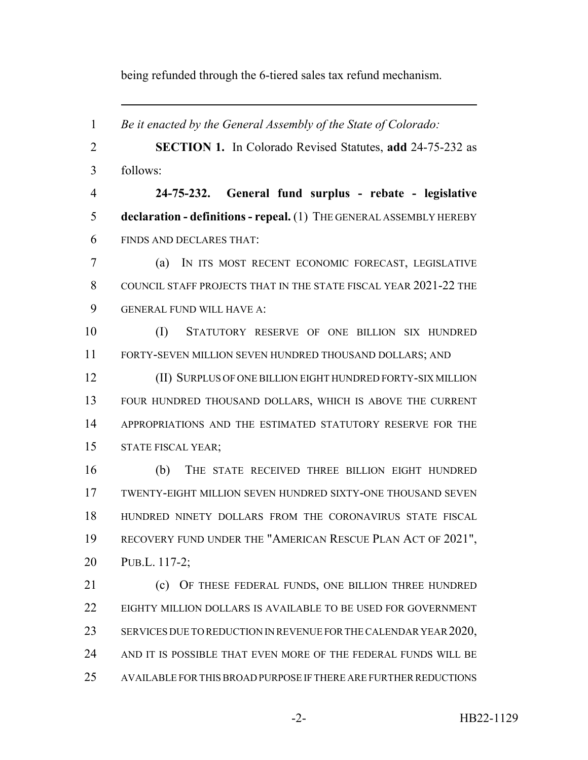being refunded through the 6-tiered sales tax refund mechanism.

 *Be it enacted by the General Assembly of the State of Colorado:* **SECTION 1.** In Colorado Revised Statutes, **add** 24-75-232 as follows: **24-75-232. General fund surplus - rebate - legislative declaration - definitions - repeal.** (1) THE GENERAL ASSEMBLY HEREBY FINDS AND DECLARES THAT: (a) IN ITS MOST RECENT ECONOMIC FORECAST, LEGISLATIVE COUNCIL STAFF PROJECTS THAT IN THE STATE FISCAL YEAR 2021-22 THE GENERAL FUND WILL HAVE A: (I) STATUTORY RESERVE OF ONE BILLION SIX HUNDRED FORTY-SEVEN MILLION SEVEN HUNDRED THOUSAND DOLLARS; AND (II) SURPLUS OF ONE BILLION EIGHT HUNDRED FORTY-SIX MILLION FOUR HUNDRED THOUSAND DOLLARS, WHICH IS ABOVE THE CURRENT APPROPRIATIONS AND THE ESTIMATED STATUTORY RESERVE FOR THE STATE FISCAL YEAR; (b) THE STATE RECEIVED THREE BILLION EIGHT HUNDRED TWENTY-EIGHT MILLION SEVEN HUNDRED SIXTY-ONE THOUSAND SEVEN HUNDRED NINETY DOLLARS FROM THE CORONAVIRUS STATE FISCAL 19 RECOVERY FUND UNDER THE "AMERICAN RESCUE PLAN ACT OF 2021", PUB.L. 117-2; 21 (c) OF THESE FEDERAL FUNDS, ONE BILLION THREE HUNDRED 22 EIGHTY MILLION DOLLARS IS AVAILABLE TO BE USED FOR GOVERNMENT 23 SERVICES DUE TO REDUCTION IN REVENUE FOR THE CALENDAR YEAR 2020, AND IT IS POSSIBLE THAT EVEN MORE OF THE FEDERAL FUNDS WILL BE AVAILABLE FOR THIS BROAD PURPOSE IF THERE ARE FURTHER REDUCTIONS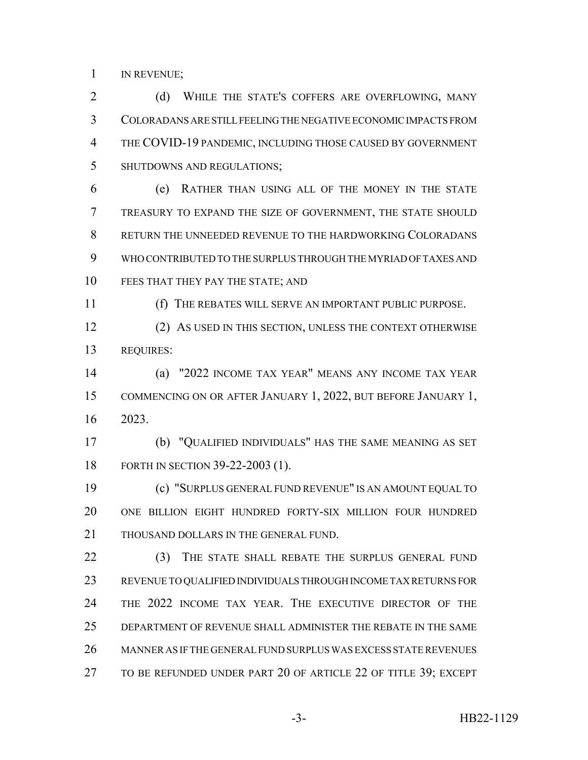IN REVENUE;

2 (d) WHILE THE STATE'S COFFERS ARE OVERFLOWING, MANY COLORADANS ARE STILL FEELING THE NEGATIVE ECONOMIC IMPACTS FROM THE COVID-19 PANDEMIC, INCLUDING THOSE CAUSED BY GOVERNMENT SHUTDOWNS AND REGULATIONS;

 (e) RATHER THAN USING ALL OF THE MONEY IN THE STATE TREASURY TO EXPAND THE SIZE OF GOVERNMENT, THE STATE SHOULD RETURN THE UNNEEDED REVENUE TO THE HARDWORKING COLORADANS WHO CONTRIBUTED TO THE SURPLUS THROUGH THE MYRIAD OF TAXES AND 10 FEES THAT THEY PAY THE STATE; AND

(f) THE REBATES WILL SERVE AN IMPORTANT PUBLIC PURPOSE.

 (2) AS USED IN THIS SECTION, UNLESS THE CONTEXT OTHERWISE REQUIRES:

 (a) "2022 INCOME TAX YEAR" MEANS ANY INCOME TAX YEAR COMMENCING ON OR AFTER JANUARY 1, 2022, BUT BEFORE JANUARY 1, 2023.

 (b) "QUALIFIED INDIVIDUALS" HAS THE SAME MEANING AS SET FORTH IN SECTION 39-22-2003 (1).

 (c) "SURPLUS GENERAL FUND REVENUE" IS AN AMOUNT EQUAL TO ONE BILLION EIGHT HUNDRED FORTY-SIX MILLION FOUR HUNDRED 21 THOUSAND DOLLARS IN THE GENERAL FUND.

22 (3) THE STATE SHALL REBATE THE SURPLUS GENERAL FUND REVENUE TO QUALIFIED INDIVIDUALS THROUGH INCOME TAX RETURNS FOR THE 2022 INCOME TAX YEAR. THE EXECUTIVE DIRECTOR OF THE DEPARTMENT OF REVENUE SHALL ADMINISTER THE REBATE IN THE SAME MANNER AS IF THE GENERAL FUND SURPLUS WAS EXCESS STATE REVENUES TO BE REFUNDED UNDER PART 20 OF ARTICLE 22 OF TITLE 39; EXCEPT